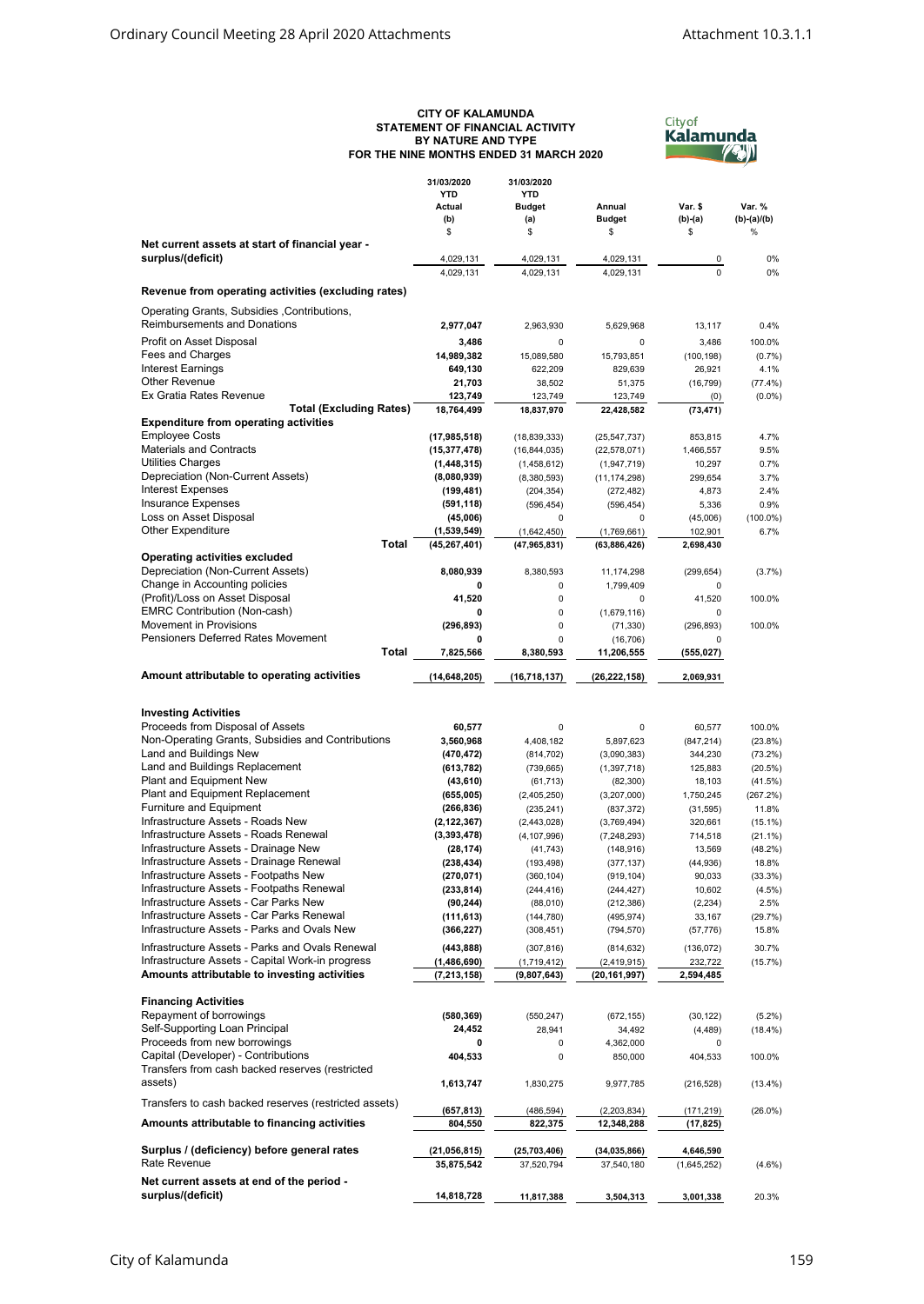## **CITY OF KALAMUNDA STATEMENT OF FINANCIAL ACTIVITY BY NATURE AND TYPE FOR THE NINE MONTHS ENDED 31 MARCH 2020**



|                                                                                       | 31/03/2020<br><b>YTD</b><br>Actual<br>(b) | 31/03/2020<br><b>YTD</b><br><b>Budget</b><br>(a) | Annual<br><b>Budget</b>      | Var. \$<br>(b)-(a)   | Var. %<br>$(b)-(a)/(b)$ |
|---------------------------------------------------------------------------------------|-------------------------------------------|--------------------------------------------------|------------------------------|----------------------|-------------------------|
|                                                                                       | \$                                        | \$                                               | \$                           | \$                   | $\%$                    |
| Net current assets at start of financial year -<br>surplus/(deficit)                  | 4,029,131                                 | 4,029,131                                        | 4,029,131                    | 0                    | 0%                      |
|                                                                                       | 4,029,131                                 | 4,029,131                                        | 4,029,131                    | $\Omega$             | 0%                      |
| Revenue from operating activities (excluding rates)                                   |                                           |                                                  |                              |                      |                         |
| Operating Grants, Subsidies, Contributions,                                           |                                           |                                                  |                              |                      |                         |
| <b>Reimbursements and Donations</b>                                                   | 2,977,047                                 | 2,963,930                                        | 5,629,968                    | 13,117               | 0.4%                    |
| Profit on Asset Disposal                                                              | 3,486                                     | 0                                                | 0                            | 3,486                | 100.0%                  |
| Fees and Charges                                                                      | 14,989,382                                | 15,089,580                                       | 15,793,851                   | (100, 198)           | (0.7%                   |
| <b>Interest Earnings</b><br>Other Revenue                                             | 649,130                                   | 622.209                                          | 829,639                      | 26,921               | 4.1%                    |
| Ex Gratia Rates Revenue                                                               | 21,703<br>123,749                         | 38.502<br>123,749                                | 51,375<br>123,749            | (16, 799)<br>(0)     | (77.4%)<br>$(0.0\%)$    |
| <b>Total (Excluding Rates)</b>                                                        | 18,764,499                                | 18,837,970                                       | 22,428,582                   | (73, 471)            |                         |
| <b>Expenditure from operating activities</b>                                          |                                           |                                                  |                              |                      |                         |
| <b>Employee Costs</b>                                                                 | (17, 985, 518)                            | (18, 839, 333)                                   | (25, 547, 737)               | 853,815              | 4.7%                    |
| <b>Materials and Contracts</b>                                                        | (15, 377, 478)                            | (16, 844, 035)                                   | (22, 578, 071)               | 1,466,557            | 9.5%                    |
| Utilities Charges<br>Depreciation (Non-Current Assets)                                | (1,448,315)                               | (1,458,612)                                      | (1,947,719)                  | 10,297               | 0.7%                    |
| <b>Interest Expenses</b>                                                              | (8,080,939)<br>(199, 481)                 | (8,380,593)<br>(204, 354)                        | (11, 174, 298)<br>(272, 482) | 299,654<br>4,873     | 3.7%<br>2.4%            |
| <b>Insurance Expenses</b>                                                             | (591, 118)                                | (596, 454)                                       | (596, 454)                   | 5,336                | 0.9%                    |
| Loss on Asset Disposal                                                                | (45,006)                                  | 0                                                | $\mathbf 0$                  | (45,006)             | $(100.0\%)$             |
| <b>Other Expenditure</b>                                                              | (1,539,549)                               | (1,642,450)                                      | (1,769,661)                  | 102,901              | 6.7%                    |
| <b>Total</b>                                                                          | (45, 267, 401)                            | (47, 965, 831)                                   | (63,886,426)                 | 2,698,430            |                         |
| Operating activities excluded                                                         |                                           |                                                  |                              |                      |                         |
| Depreciation (Non-Current Assets)<br>Change in Accounting policies                    | 8,080,939<br>0                            | 8,380,593                                        | 11,174,298                   | (299, 654)           | (3.7%)                  |
| (Profit)/Loss on Asset Disposal                                                       | 41,520                                    | 0<br>0                                           | 1,799,409<br>0               | 0<br>41,520          | 100.0%                  |
| <b>EMRC Contribution (Non-cash)</b>                                                   | 0                                         | 0                                                | (1,679,116)                  | 0                    |                         |
| Movement in Provisions                                                                | (296, 893)                                | 0                                                | (71, 330)                    | (296, 893)           | 100.0%                  |
| <b>Pensioners Deferred Rates Movement</b>                                             | 0                                         | 0                                                | (16, 706)                    | $\mathbf 0$          |                         |
| <b>Total</b>                                                                          | 7,825,566                                 | 8,380,593                                        | 11,206,555                   | (555, 027)           |                         |
| Amount attributable to operating activities                                           | (14, 648, 205)                            | (16,718,137)                                     | (26, 222, 158)               | 2,069,931            |                         |
|                                                                                       |                                           |                                                  |                              |                      |                         |
| <b>Investing Activities</b>                                                           |                                           |                                                  |                              |                      |                         |
| Proceeds from Disposal of Assets<br>Non-Operating Grants, Subsidies and Contributions | 60,577<br>3,560,968                       | 0<br>4,408,182                                   | $\mathbf 0$<br>5,897,623     | 60,577<br>(847, 214) | 100.0%<br>(23.8%)       |
| Land and Buildings New                                                                | (470, 472)                                | (814, 702)                                       | (3,090,383)                  | 344,230              | (73.2%)                 |
| Land and Buildings Replacement                                                        | (613, 782)                                | (739, 665)                                       | (1, 397, 718)                | 125,883              | (20.5%)                 |
| Plant and Equipment New                                                               | (43, 610)                                 | (61, 713)                                        | (82, 300)                    | 18,103               | (41.5%)                 |
| Plant and Equipment Replacement                                                       | (655,005)                                 | (2,405,250)                                      | (3,207,000)                  | 1,750,245            | (267.2%)                |
| <b>Furniture and Equipment</b>                                                        | (266, 836)                                | (235, 241)                                       | (837, 372)                   | (31, 595)            | 11.8%                   |
| Infrastructure Assets - Roads New<br>Infrastructure Assets - Roads Renewal            | (2, 122, 367)                             | (2,443,028)                                      | (3,769,494)                  | 320,661              | $(15.1\%)$              |
| Infrastructure Assets - Drainage New                                                  | (3,393,478)<br>(28, 174)                  | (4, 107, 996)<br>(41, 743)                       | (7, 248, 293)<br>(148, 916)  | 714,518<br>13,569    | (21.1%)<br>(48.2%)      |
| Infrastructure Assets - Drainage Renewal                                              | (238, 434)                                | (193, 498)                                       | (377, 137)                   | (44, 936)            | 18.8%                   |
| Infrastructure Assets - Footpaths New                                                 | (270, 071)                                | (360, 104)                                       | (919, 104)                   | 90,033               | (33.3%)                 |
| Infrastructure Assets - Footpaths Renewal                                             | (233, 814)                                | (244, 416)                                       | (244, 427)                   | 10,602               | (4.5%)                  |
| Infrastructure Assets - Car Parks New                                                 | (90, 244)                                 | (88,010)                                         | (212, 386)                   | (2, 234)             | 2.5%                    |
| Infrastructure Assets - Car Parks Renewal                                             | (111, 613)                                | (144, 780)                                       | (495, 974)                   | 33,167               | (29.7%)                 |
| Infrastructure Assets - Parks and Ovals New                                           | (366, 227)                                | (308, 451)                                       | (794, 570)                   | (57, 776)            | 15.8%                   |
| Infrastructure Assets - Parks and Ovals Renewal                                       | (443, 888)                                | (307, 816)                                       | (814, 632)                   | (136, 072)           | 30.7%                   |
| Infrastructure Assets - Capital Work-in progress                                      | (1,486,690)                               | (1,719,412)                                      | (2, 419, 915)                | 232,722              | (15.7%)                 |
| Amounts attributable to investing activities                                          | (7, 213, 158)                             | (9,807,643)                                      | (20,161,997)                 | 2,594,485            |                         |
| <b>Financing Activities</b>                                                           |                                           |                                                  |                              |                      |                         |
| Repayment of borrowings                                                               | (580, 369)                                | (550, 247)                                       | (672, 155)                   | (30, 122)            | $(5.2\%)$               |
| Self-Supporting Loan Principal                                                        | 24,452                                    | 28,941                                           | 34,492                       | (4, 489)             | (18.4%)                 |
| Proceeds from new borrowings                                                          | 0                                         | 0                                                | 4,362,000                    | 0                    |                         |
| Capital (Developer) - Contributions                                                   | 404,533                                   | 0                                                | 850,000                      | 404,533              | 100.0%                  |
| Transfers from cash backed reserves (restricted<br>assets)                            | 1,613,747                                 | 1,830,275                                        | 9,977,785                    | (216, 528)           | $(13.4\%)$              |
|                                                                                       |                                           |                                                  |                              |                      |                         |
| Transfers to cash backed reserves (restricted assets)                                 | (657, 813)                                | (486, 594)                                       | (2,203,834)                  | (171,219)            | $(26.0\%)$              |
| Amounts attributable to financing activities                                          | 804,550                                   | 822,375                                          | 12,348,288                   | (17, 825)            |                         |
| Surplus / (deficiency) before general rates                                           | (21, 056, 815)                            | (25, 703, 406)                                   | (34, 035, 866)               | 4,646,590            |                         |
| Rate Revenue                                                                          | 35,875,542                                | 37,520,794                                       | 37,540,180                   | (1,645,252)          | $(4.6\%)$               |
| Net current assets at end of the period -                                             |                                           |                                                  |                              |                      |                         |
| surplus/(deficit)                                                                     | 14,818,728                                | 11,817,388                                       | 3,504,313                    | 3,001,338            | 20.3%                   |